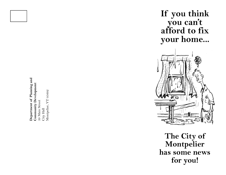Department of Planning and **Department of Planning and** Community Development **Community Development** Montpelier, VT 05602 Montpelier, VT 0560239 Main Street 39 Main Street City Hall

**If you think you can't afford to fix your home...**



**The City of Montpelier has some news for you!**